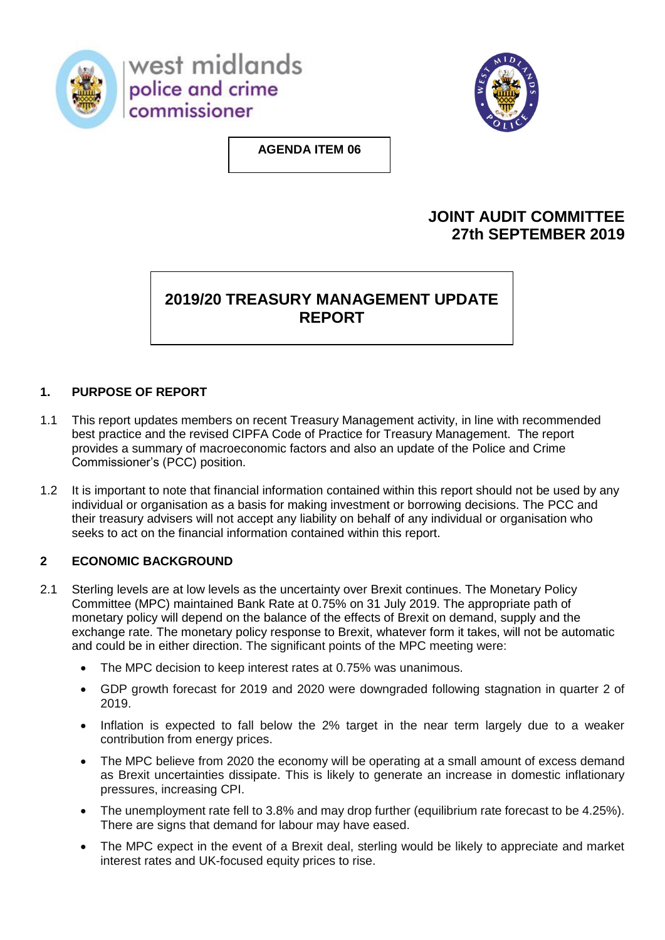

west midlands police and crime commissioner



**AGENDA ITEM 06**

## **JOINT AUDIT COMMITTEE 27th SEPTEMBER 2019**

# **2019/20 TREASURY MANAGEMENT UPDATE REPORT**

## **1. PURPOSE OF REPORT**

- 1.1 This report updates members on recent Treasury Management activity, in line with recommended best practice and the revised CIPFA Code of Practice for Treasury Management. The report provides a summary of macroeconomic factors and also an update of the Police and Crime Commissioner's (PCC) position.
- 1.2 It is important to note that financial information contained within this report should not be used by any individual or organisation as a basis for making investment or borrowing decisions. The PCC and their treasury advisers will not accept any liability on behalf of any individual or organisation who seeks to act on the financial information contained within this report.

## **2 ECONOMIC BACKGROUND**

- 2.1 Sterling levels are at low levels as the uncertainty over Brexit continues. The Monetary Policy Committee (MPC) maintained Bank Rate at 0.75% on 31 July 2019. The appropriate path of monetary policy will depend on the balance of the effects of Brexit on demand, supply and the exchange rate. The monetary policy response to Brexit, whatever form it takes, will not be automatic and could be in either direction. The significant points of the MPC meeting were:
	- The MPC decision to keep interest rates at 0.75% was unanimous.
	- GDP growth forecast for 2019 and 2020 were downgraded following stagnation in quarter 2 of 2019.
	- Inflation is expected to fall below the 2% target in the near term largely due to a weaker contribution from energy prices.
	- The MPC believe from 2020 the economy will be operating at a small amount of excess demand as Brexit uncertainties dissipate. This is likely to generate an increase in domestic inflationary pressures, increasing CPI.
	- The unemployment rate fell to 3.8% and may drop further (equilibrium rate forecast to be 4.25%). There are signs that demand for labour may have eased.
	- The MPC expect in the event of a Brexit deal, sterling would be likely to appreciate and market interest rates and UK-focused equity prices to rise.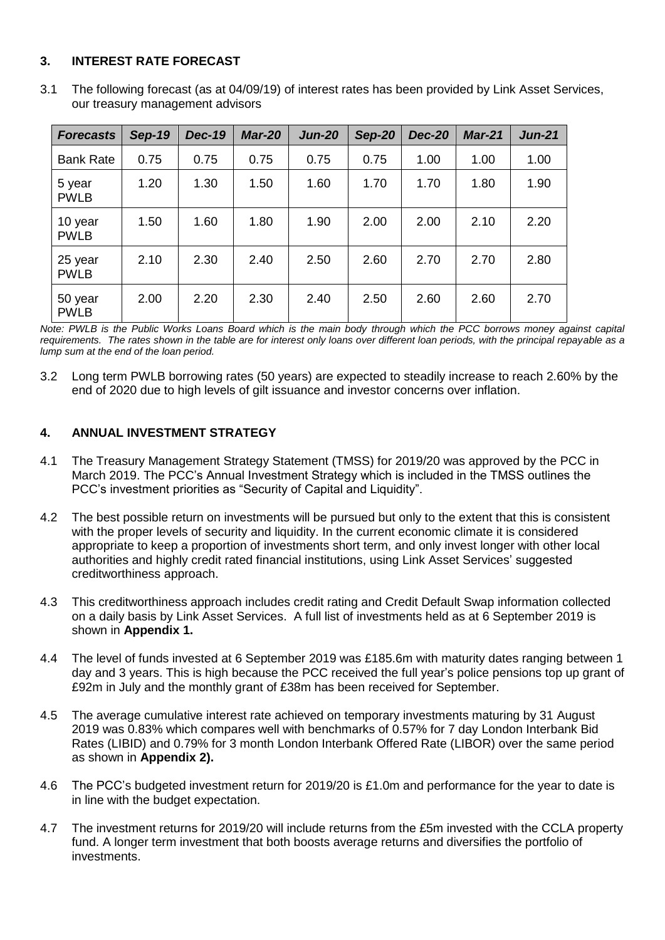#### **3. INTEREST RATE FORECAST**

3.1 The following forecast (as at 04/09/19) of interest rates has been provided by Link Asset Services, our treasury management advisors

| <b>Forecasts</b>       | <b>Sep-19</b> | <b>Dec-19</b> | <b>Mar-20</b> | <b>Jun-20</b> | <b>Sep-20</b> | <b>Dec-20</b> | <b>Mar-21</b> | <b>Jun-21</b> |
|------------------------|---------------|---------------|---------------|---------------|---------------|---------------|---------------|---------------|
| <b>Bank Rate</b>       | 0.75          | 0.75          | 0.75          | 0.75          | 0.75          | 1.00          | 1.00          | 1.00          |
| 5 year<br><b>PWLB</b>  | 1.20          | 1.30          | 1.50          | 1.60          | 1.70          | 1.70          | 1.80          | 1.90          |
| 10 year<br><b>PWLB</b> | 1.50          | 1.60          | 1.80          | 1.90          | 2.00          | 2.00          | 2.10          | 2.20          |
| 25 year<br><b>PWLB</b> | 2.10          | 2.30          | 2.40          | 2.50          | 2.60          | 2.70          | 2.70          | 2.80          |
| 50 year<br><b>PWLB</b> | 2.00          | 2.20          | 2.30          | 2.40          | 2.50          | 2.60          | 2.60          | 2.70          |

*Note: PWLB is the Public Works Loans Board which is the main body through which the PCC borrows money against capital requirements. The rates shown in the table are for interest only loans over different loan periods, with the principal repayable as a lump sum at the end of the loan period.*

3.2 Long term PWLB borrowing rates (50 years) are expected to steadily increase to reach 2.60% by the end of 2020 due to high levels of gilt issuance and investor concerns over inflation.

#### **4. ANNUAL INVESTMENT STRATEGY**

- 4.1 The Treasury Management Strategy Statement (TMSS) for 2019/20 was approved by the PCC in March 2019. The PCC's Annual Investment Strategy which is included in the TMSS outlines the PCC's investment priorities as "Security of Capital and Liquidity".
- 4.2 The best possible return on investments will be pursued but only to the extent that this is consistent with the proper levels of security and liquidity. In the current economic climate it is considered appropriate to keep a proportion of investments short term, and only invest longer with other local authorities and highly credit rated financial institutions, using Link Asset Services' suggested creditworthiness approach.
- 4.3 This creditworthiness approach includes credit rating and Credit Default Swap information collected on a daily basis by Link Asset Services. A full list of investments held as at 6 September 2019 is shown in **Appendix 1.**
- 4.4 The level of funds invested at 6 September 2019 was £185.6m with maturity dates ranging between 1 day and 3 years. This is high because the PCC received the full year's police pensions top up grant of £92m in July and the monthly grant of £38m has been received for September.
- 4.5 The average cumulative interest rate achieved on temporary investments maturing by 31 August 2019 was 0.83% which compares well with benchmarks of 0.57% for 7 day London Interbank Bid Rates (LIBID) and 0.79% for 3 month London Interbank Offered Rate (LIBOR) over the same period as shown in **Appendix 2).**
- 4.6 The PCC's budgeted investment return for 2019/20 is £1.0m and performance for the year to date is in line with the budget expectation.
- 4.7 The investment returns for 2019/20 will include returns from the £5m invested with the CCLA property fund. A longer term investment that both boosts average returns and diversifies the portfolio of investments.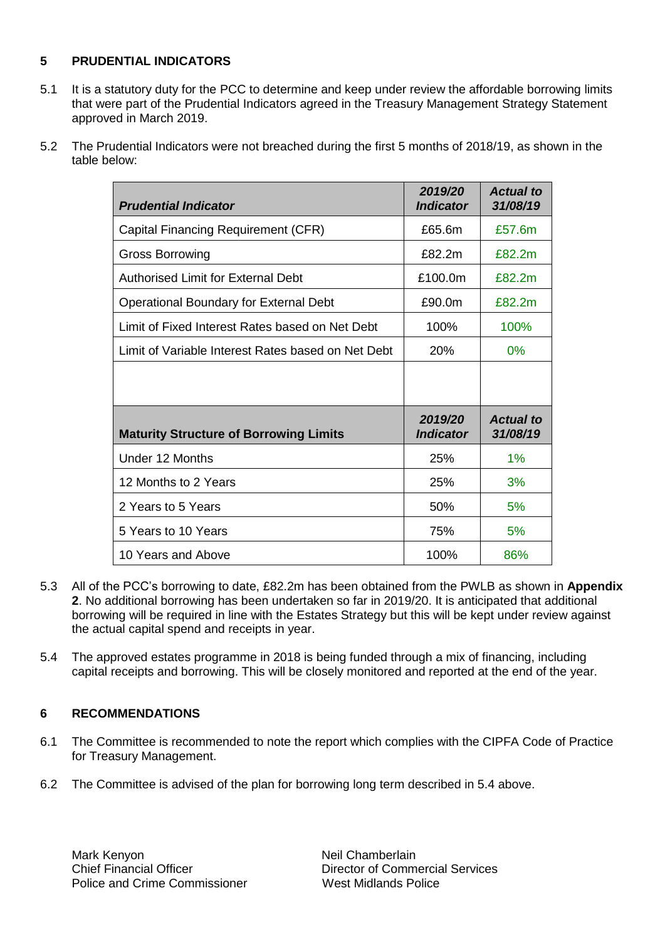#### **5 PRUDENTIAL INDICATORS**

- 5.1 It is a statutory duty for the PCC to determine and keep under review the affordable borrowing limits that were part of the Prudential Indicators agreed in the Treasury Management Strategy Statement approved in March 2019.
- 5.2 The Prudential Indicators were not breached during the first 5 months of 2018/19, as shown in the table below:

| <b>Prudential Indicator</b>                        | 2019/20<br><b>Indicator</b> | <b>Actual to</b><br>31/08/19 |
|----------------------------------------------------|-----------------------------|------------------------------|
| Capital Financing Requirement (CFR)                | £65.6m                      | £57.6m                       |
| <b>Gross Borrowing</b>                             | £82.2m                      | £82.2m                       |
| <b>Authorised Limit for External Debt</b>          | £100.0m                     | £82.2m                       |
| <b>Operational Boundary for External Debt</b>      | £90.0m                      | £82.2m                       |
| Limit of Fixed Interest Rates based on Net Debt    | 100%                        | 100%                         |
| Limit of Variable Interest Rates based on Net Debt | 20%                         | 0%                           |
|                                                    |                             |                              |
| <b>Maturity Structure of Borrowing Limits</b>      | 2019/20<br><b>Indicator</b> | <b>Actual to</b><br>31/08/19 |
| Under 12 Months                                    | 25%                         | 1%                           |
| 12 Months to 2 Years                               | 25%                         | 3%                           |
| 2 Years to 5 Years                                 | 50%                         | 5%                           |
| 5 Years to 10 Years                                | 75%                         | 5%                           |
| 10 Years and Above                                 | 100%                        | 86%                          |

- 5.3 All of the PCC's borrowing to date, £82.2m has been obtained from the PWLB as shown in **Appendix 2**. No additional borrowing has been undertaken so far in 2019/20. It is anticipated that additional borrowing will be required in line with the Estates Strategy but this will be kept under review against the actual capital spend and receipts in year.
- 5.4 The approved estates programme in 2018 is being funded through a mix of financing, including capital receipts and borrowing. This will be closely monitored and reported at the end of the year.

#### **6 RECOMMENDATIONS**

- 6.1 The Committee is recommended to note the report which complies with the CIPFA Code of Practice for Treasury Management.
- 6.2 The Committee is advised of the plan for borrowing long term described in 5.4 above.

Chief Financial Officer Director of Commercial Services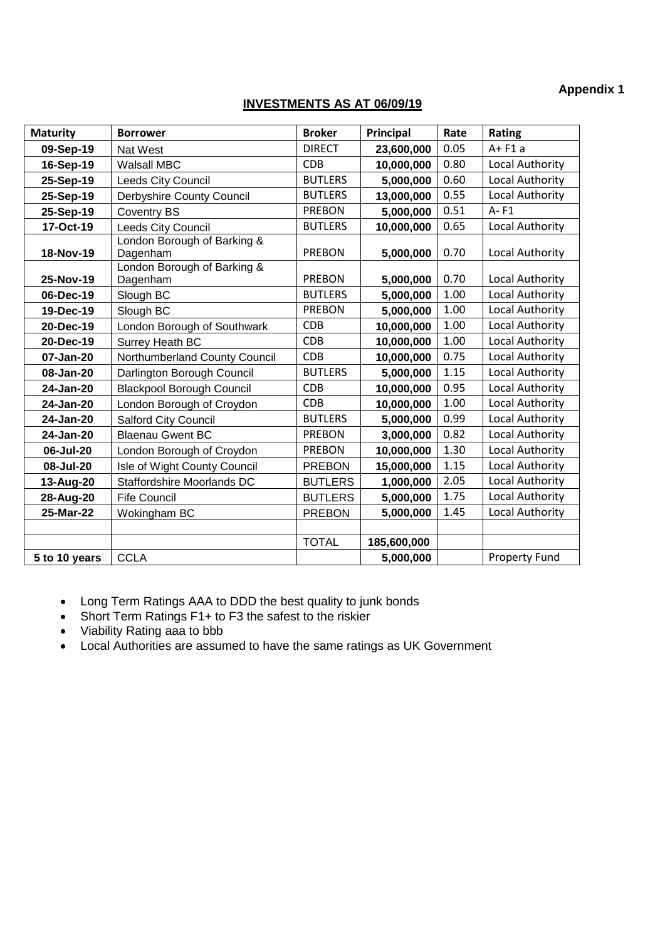#### **Appendix 1**

#### **INVESTMENTS AS AT 06/09/19**

| <b>Maturity</b> | <b>Borrower</b>                         | <b>Broker</b>  | Principal   | Rate | Rating                 |
|-----------------|-----------------------------------------|----------------|-------------|------|------------------------|
| 09-Sep-19       | <b>Nat West</b>                         | <b>DIRECT</b>  | 23,600,000  | 0.05 | $A + F1a$              |
| 16-Sep-19       | <b>Walsall MBC</b>                      | <b>CDB</b>     | 10,000,000  | 0.80 | Local Authority        |
| 25-Sep-19       | <b>Leeds City Council</b>               | <b>BUTLERS</b> | 5,000,000   | 0.60 | <b>Local Authority</b> |
| 25-Sep-19       | Derbyshire County Council               | <b>BUTLERS</b> | 13,000,000  | 0.55 | Local Authority        |
| 25-Sep-19       | <b>Coventry BS</b>                      | <b>PREBON</b>  | 5,000,000   | 0.51 | $A - F1$               |
| 17-Oct-19       | Leeds City Council                      | <b>BUTLERS</b> | 10,000,000  | 0.65 | Local Authority        |
| 18-Nov-19       | London Borough of Barking &<br>Dagenham | <b>PREBON</b>  | 5,000,000   | 0.70 | Local Authority        |
| 25-Nov-19       | London Borough of Barking &<br>Dagenham | <b>PREBON</b>  | 5,000,000   | 0.70 | <b>Local Authority</b> |
| 06-Dec-19       | Slough BC                               | <b>BUTLERS</b> | 5,000,000   | 1.00 | Local Authority        |
| 19-Dec-19       | Slough BC                               | <b>PREBON</b>  | 5,000,000   | 1.00 | <b>Local Authority</b> |
| 20-Dec-19       | London Borough of Southwark             | <b>CDB</b>     | 10,000,000  | 1.00 | Local Authority        |
| 20-Dec-19       | Surrey Heath BC                         | <b>CDB</b>     | 10,000,000  | 1.00 | Local Authority        |
| 07-Jan-20       | Northumberland County Council           | <b>CDB</b>     | 10,000,000  | 0.75 | Local Authority        |
| 08-Jan-20       | Darlington Borough Council              | <b>BUTLERS</b> | 5,000,000   | 1.15 | Local Authority        |
| 24-Jan-20       | <b>Blackpool Borough Council</b>        | <b>CDB</b>     | 10,000,000  | 0.95 | <b>Local Authority</b> |
| 24-Jan-20       | London Borough of Croydon               | <b>CDB</b>     | 10,000,000  | 1.00 | Local Authority        |
| 24-Jan-20       | Salford City Council                    | <b>BUTLERS</b> | 5,000,000   | 0.99 | Local Authority        |
| 24-Jan-20       | <b>Blaenau Gwent BC</b>                 | <b>PREBON</b>  | 3,000,000   | 0.82 | Local Authority        |
| 06-Jul-20       | London Borough of Croydon               | <b>PREBON</b>  | 10,000,000  | 1.30 | Local Authority        |
| 08-Jul-20       | Isle of Wight County Council            | <b>PREBON</b>  | 15,000,000  | 1.15 | <b>Local Authority</b> |
| 13-Aug-20       | Staffordshire Moorlands DC              | <b>BUTLERS</b> | 1,000,000   | 2.05 | Local Authority        |
| 28-Aug-20       | <b>Fife Council</b>                     | <b>BUTLERS</b> | 5,000,000   | 1.75 | <b>Local Authority</b> |
| 25-Mar-22       | Wokingham BC                            | <b>PREBON</b>  | 5,000,000   | 1.45 | <b>Local Authority</b> |
|                 |                                         |                |             |      |                        |
|                 |                                         | <b>TOTAL</b>   | 185,600,000 |      |                        |
| 5 to 10 years   | <b>CCLA</b>                             |                | 5,000,000   |      | <b>Property Fund</b>   |

- Long Term Ratings AAA to DDD the best quality to junk bonds
- Short Term Ratings F1+ to F3 the safest to the riskier
- Viability Rating aaa to bbb
- Local Authorities are assumed to have the same ratings as UK Government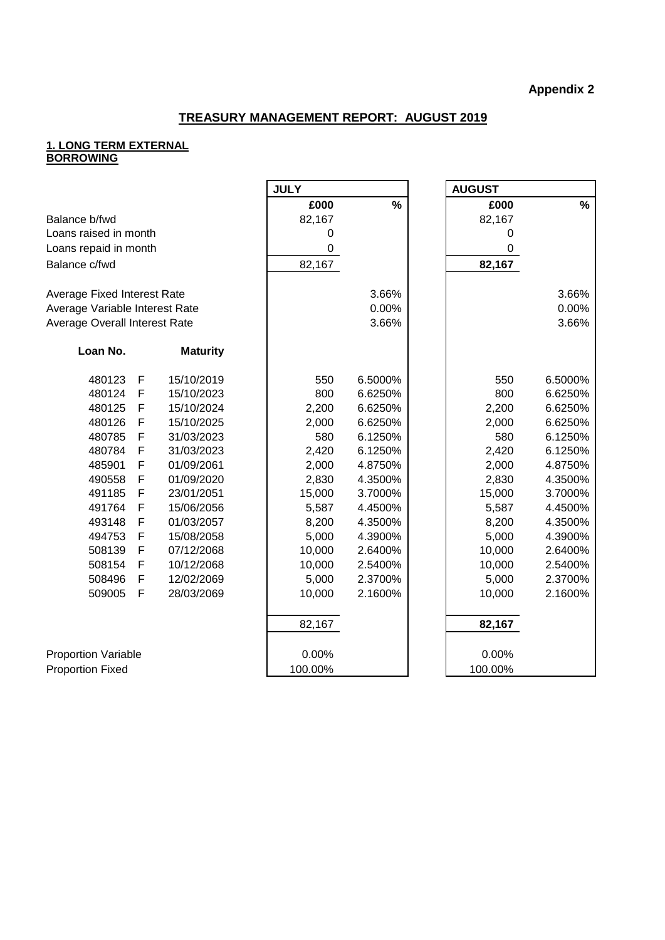#### **TREASURY MANAGEMENT REPORT: AUGUST 2019**

#### **1. LONG TERM EXTERNAL BORROWING**

|                                |             |                 | <b>JULY</b> |         | <b>AUGUST</b> |               |
|--------------------------------|-------------|-----------------|-------------|---------|---------------|---------------|
|                                |             |                 | £000        | $\%$    | £000          | $\frac{0}{0}$ |
| Balance b/fwd                  |             |                 | 82,167      |         | 82,167        |               |
| Loans raised in month          |             |                 | 0           |         | 0             |               |
| Loans repaid in month          |             |                 | $\mathbf 0$ |         | 0             |               |
| Balance c/fwd                  |             |                 | 82,167      |         | 82,167        |               |
|                                |             |                 |             |         |               |               |
| Average Fixed Interest Rate    |             |                 |             | 3.66%   |               | 3.66%         |
| Average Variable Interest Rate |             |                 |             | 0.00%   |               | 0.00%         |
| Average Overall Interest Rate  |             |                 |             | 3.66%   |               | 3.66%         |
|                                |             |                 |             |         |               |               |
| Loan No.                       |             | <b>Maturity</b> |             |         |               |               |
| 480123                         | F           | 15/10/2019      | 550         | 6.5000% | 550           | 6.5000%       |
| 480124                         | F           | 15/10/2023      | 800         | 6.6250% | 800           | 6.6250%       |
| 480125                         | F           | 15/10/2024      | 2,200       | 6.6250% | 2,200         | 6.6250%       |
| 480126                         | F           | 15/10/2025      | 2,000       | 6.6250% | 2,000         | 6.6250%       |
| 480785                         | F           | 31/03/2023      | 580         | 6.1250% | 580           | 6.1250%       |
| 480784                         | F           | 31/03/2023      | 2,420       | 6.1250% | 2,420         | 6.1250%       |
| 485901                         | F           | 01/09/2061      | 2,000       | 4.8750% | 2,000         | 4.8750%       |
| 490558                         | F           | 01/09/2020      | 2,830       | 4.3500% | 2,830         | 4.3500%       |
| 491185                         | F           | 23/01/2051      | 15,000      | 3.7000% | 15,000        | 3.7000%       |
| 491764                         | F           | 15/06/2056      | 5,587       | 4.4500% | 5,587         | 4.4500%       |
| 493148                         | F           | 01/03/2057      | 8,200       | 4.3500% | 8,200         | 4.3500%       |
| 494753                         | F           | 15/08/2058      | 5,000       | 4.3900% | 5,000         | 4.3900%       |
| 508139                         | $\mathsf F$ | 07/12/2068      | 10,000      | 2.6400% | 10,000        | 2.6400%       |
| 508154                         | F           | 10/12/2068      | 10,000      | 2.5400% | 10,000        | 2.5400%       |
| 508496                         | F           | 12/02/2069      | 5,000       | 2.3700% | 5,000         | 2.3700%       |
| 509005                         | F           | 28/03/2069      | 10,000      | 2.1600% | 10,000        | 2.1600%       |
|                                |             |                 |             |         |               |               |
|                                |             |                 | 82,167      |         | 82,167        |               |
| <b>Proportion Variable</b>     |             |                 | 0.00%       |         | 0.00%         |               |
| <b>Proportion Fixed</b>        |             |                 | 100.00%     |         | 100.00%       |               |